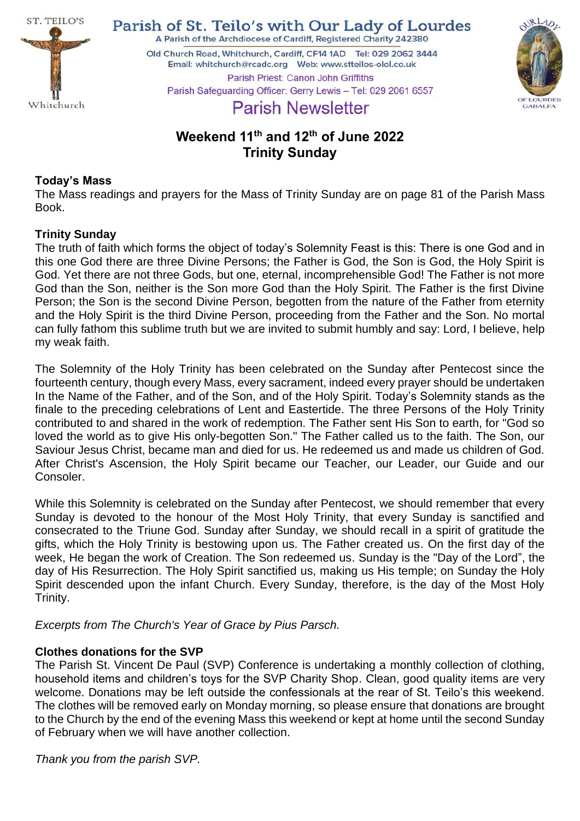

Parish of St. Teilo's with Our Lady of Lourdes

A Parish of the Archdiocese of Cardiff, Registered Charity 242380 Old Church Road, Whitchurch, Cardiff, CF14 1AD Tel: 029 2062 3444 



Parish Priest: Canon John Griffiths Parish Safeguarding Officer: Gerry Lewis - Tel: 029 2061 6557

# **Parish Newsletter**

## **Weekend 11th and 12th of June 2022 Trinity Sunday**

## **Today's Mass**

The Mass readings and prayers for the Mass of Trinity Sunday are on page 81 of the Parish Mass Book.

## **Trinity Sunday**

The truth of faith which forms the object of today's Solemnity Feast is this: There is one God and in this one God there are three Divine Persons; the Father is God, the Son is God, the Holy Spirit is God. Yet there are not three Gods, but one, eternal, incomprehensible God! The Father is not more God than the Son, neither is the Son more God than the Holy Spirit. The Father is the first Divine Person; the Son is the second Divine Person, begotten from the nature of the Father from eternity and the Holy Spirit is the third Divine Person, proceeding from the Father and the Son. No mortal can fully fathom this sublime truth but we are invited to submit humbly and say: Lord, I believe, help my weak faith.

The Solemnity of the Holy Trinity has been celebrated on the Sunday after Pentecost since the fourteenth century, though every Mass, every sacrament, indeed every prayer should be undertaken In the Name of the Father, and of the Son, and of the Holy Spirit. Today's Solemnity stands as the finale to the preceding celebrations of Lent and Eastertide. The three Persons of the Holy Trinity contributed to and shared in the work of redemption. The Father sent His Son to earth, for "God so loved the world as to give His only-begotten Son." The Father called us to the faith. The Son, our Saviour Jesus Christ, became man and died for us. He redeemed us and made us children of God. After Christ's Ascension, the Holy Spirit became our Teacher, our Leader, our Guide and our Consoler.

While this Solemnity is celebrated on the Sunday after Pentecost, we should remember that every Sunday is devoted to the honour of the Most Holy Trinity, that every Sunday is sanctified and consecrated to the Triune God. Sunday after Sunday, we should recall in a spirit of gratitude the gifts, which the Holy Trinity is bestowing upon us. The Father created us. On the first day of the week, He began the work of Creation. The Son redeemed us. Sunday is the "Day of the Lord", the day of His Resurrection. The Holy Spirit sanctified us, making us His temple; on Sunday the Holy Spirit descended upon the infant Church. Every Sunday, therefore, is the day of the Most Holy Trinity.

*Excerpts from The Church's Year of Grace by Pius Parsch.*

## **Clothes donations for the SVP**

The Parish St. Vincent De Paul (SVP) Conference is undertaking a monthly collection of clothing, household items and children's toys for the SVP Charity Shop. Clean, good quality items are very welcome. Donations may be left outside the confessionals at the rear of St. Teilo's this weekend. The clothes will be removed early on Monday morning, so please ensure that donations are brought to the Church by the end of the evening Mass this weekend or kept at home until the second Sunday of February when we will have another collection.

*Thank you from the parish SVP.*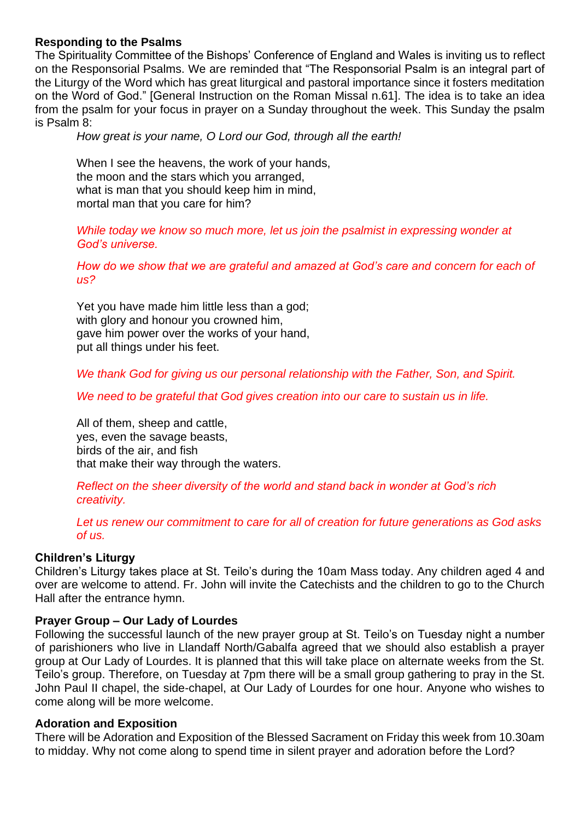#### **Responding to the Psalms**

The Spirituality Committee of the Bishops' Conference of England and Wales is inviting us to reflect on the Responsorial Psalms. We are reminded that "The Responsorial Psalm is an integral part of the Liturgy of the Word which has great liturgical and pastoral importance since it fosters meditation on the Word of God." [General Instruction on the Roman Missal n.61]. The idea is to take an idea from the psalm for your focus in prayer on a Sunday throughout the week. This Sunday the psalm is Psalm 8:

*How great is your name, O Lord our God, through all the earth!*

When I see the heavens, the work of your hands, the moon and the stars which you arranged, what is man that you should keep him in mind, mortal man that you care for him?

#### *While today we know so much more, let us join the psalmist in expressing wonder at God's universe.*

*How do we show that we are grateful and amazed at God's care and concern for each of us?*

Yet you have made him little less than a god; with glory and honour you crowned him, gave him power over the works of your hand, put all things under his feet.

*We thank God for giving us our personal relationship with the Father, Son, and Spirit.*

*We need to be grateful that God gives creation into our care to sustain us in life.*

All of them, sheep and cattle, yes, even the savage beasts, birds of the air, and fish that make their way through the waters.

*Reflect on the sheer diversity of the world and stand back in wonder at God's rich creativity.*

*Let us renew our commitment to care for all of creation for future generations as God asks of us.*

#### **Children's Liturgy**

Children's Liturgy takes place at St. Teilo's during the 10am Mass today. Any children aged 4 and over are welcome to attend. Fr. John will invite the Catechists and the children to go to the Church Hall after the entrance hymn.

#### **Prayer Group – Our Lady of Lourdes**

Following the successful launch of the new prayer group at St. Teilo's on Tuesday night a number of parishioners who live in Llandaff North/Gabalfa agreed that we should also establish a prayer group at Our Lady of Lourdes. It is planned that this will take place on alternate weeks from the St. Teilo's group. Therefore, on Tuesday at 7pm there will be a small group gathering to pray in the St. John Paul II chapel, the side-chapel, at Our Lady of Lourdes for one hour. Anyone who wishes to come along will be more welcome.

#### **Adoration and Exposition**

There will be Adoration and Exposition of the Blessed Sacrament on Friday this week from 10.30am to midday. Why not come along to spend time in silent prayer and adoration before the Lord?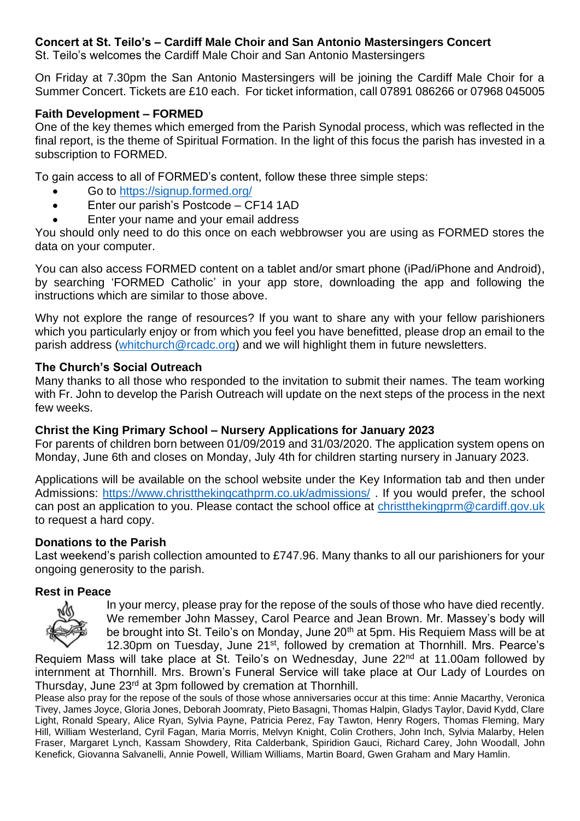#### **Concert at St. Teilo's – Cardiff Male Choir and San Antonio Mastersingers Concert**

St. Teilo's welcomes the Cardiff Male Choir and San Antonio Mastersingers

On Friday at 7.30pm the San Antonio Mastersingers will be joining the Cardiff Male Choir for a Summer Concert. Tickets are £10 each. For ticket information, call 07891 086266 or 07968 045005

#### **Faith Development – FORMED**

One of the key themes which emerged from the Parish Synodal process, which was reflected in the final report, is the theme of Spiritual Formation. In the light of this focus the parish has invested in a subscription to FORMED.

To gain access to all of FORMED's content, follow these three simple steps:

- Go to<https://signup.formed.org/>
- Enter our parish's Postcode CF14 1AD
- Enter your name and your email address

You should only need to do this once on each webbrowser you are using as FORMED stores the data on your computer.

You can also access FORMED content on a tablet and/or smart phone (iPad/iPhone and Android), by searching 'FORMED Catholic' in your app store, downloading the app and following the instructions which are similar to those above.

Why not explore the range of resources? If you want to share any with your fellow parishioners which you particularly enjoy or from which you feel you have benefitted, please drop an email to the parish address [\(whitchurch@rcadc.org\)](mailto:whitchurch@rcadc.org) and we will highlight them in future newsletters.

#### **The Church's Social Outreach**

Many thanks to all those who responded to the invitation to submit their names. The team working with Fr. John to develop the Parish Outreach will update on the next steps of the process in the next few weeks.

#### **Christ the King Primary School – Nursery Applications for January 2023**

For parents of children born between 01/09/2019 and 31/03/2020. The application system opens on Monday, June 6th and closes on Monday, July 4th for children starting nursery in January 2023.

Applications will be available on the school website under the Key Information tab and then under Admissions:<https://www.christthekingcathprm.co.uk/admissions/> . If you would prefer, the school can post an application to you. Please contact the school office at [christthekingprm@cardiff.gov.uk](mailto:christthekingprm@cardiff.gov.uk) to request a hard copy.

## **Donations to the Parish**

Last weekend's parish collection amounted to £747.96. Many thanks to all our parishioners for your ongoing generosity to the parish.

#### **Rest in Peace**



In your mercy, please pray for the repose of the souls of those who have died recently. We remember John Massey, Carol Pearce and Jean Brown. Mr. Massey's body will be brought into St. Teilo's on Monday, June 20<sup>th</sup> at 5pm. His Requiem Mass will be at 12.30pm on Tuesday, June 21<sup>st</sup>, followed by cremation at Thornhill. Mrs. Pearce's

Requiem Mass will take place at St. Teilo's on Wednesday, June 22<sup>nd</sup> at 11.00am followed by internment at Thornhill. Mrs. Brown's Funeral Service will take place at Our Lady of Lourdes on Thursday, June 23<sup>rd</sup> at 3pm followed by cremation at Thornhill.

Please also pray for the repose of the souls of those whose anniversaries occur at this time: Annie Macarthy, Veronica Tivey, James Joyce, Gloria Jones, Deborah Joomraty, Pieto Basagni, Thomas Halpin, Gladys Taylor, David Kydd, Clare Light, Ronald Speary, Alice Ryan, Sylvia Payne, Patricia Perez, Fay Tawton, Henry Rogers, Thomas Fleming, Mary Hill, William Westerland, Cyril Fagan, Maria Morris, Melvyn Knight, Colin Crothers, John Inch, Sylvia Malarby, Helen Fraser, Margaret Lynch, Kassam Showdery, Rita Calderbank, Spiridion Gauci, Richard Carey, John Woodall, John Kenefick, Giovanna Salvanelli, Annie Powell, William Williams, Martin Board, Gwen Graham and Mary Hamlin.